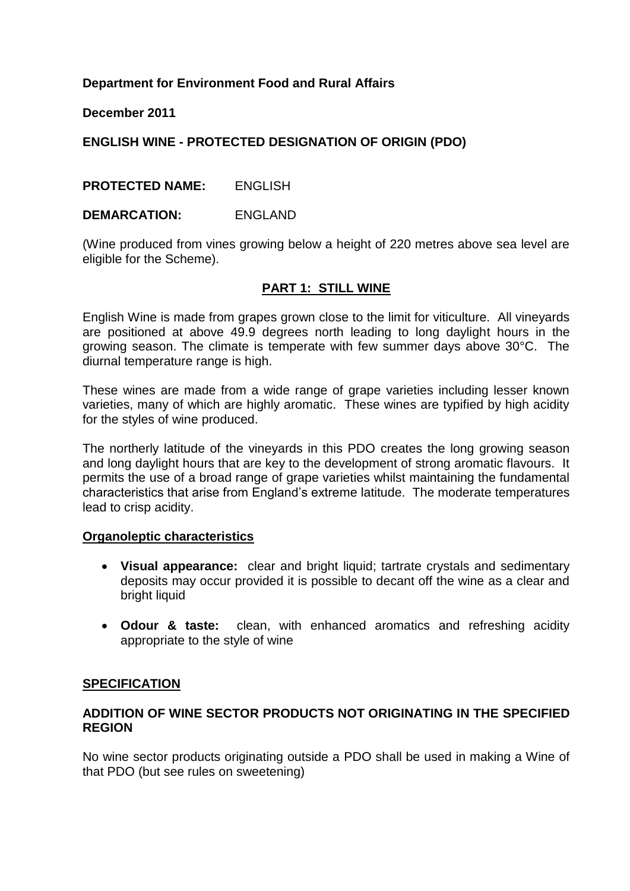# **Department for Environment Food and Rural Affairs**

#### **December 2011**

# **ENGLISH WINE - PROTECTED DESIGNATION OF ORIGIN (PDO)**

# **PROTECTED NAME:** ENGLISH

#### **DEMARCATION:** ENGLAND

(Wine produced from vines growing below a height of 220 metres above sea level are eligible for the Scheme).

#### **PART 1: STILL WINE**

English Wine is made from grapes grown close to the limit for viticulture. All vineyards are positioned at above 49.9 degrees north leading to long daylight hours in the growing season. The climate is temperate with few summer days above 30°C. The diurnal temperature range is high.

These wines are made from a wide range of grape varieties including lesser known varieties, many of which are highly aromatic. These wines are typified by high acidity for the styles of wine produced.

The northerly latitude of the vineyards in this PDO creates the long growing season and long daylight hours that are key to the development of strong aromatic flavours. It permits the use of a broad range of grape varieties whilst maintaining the fundamental characteristics that arise from England"s extreme latitude. The moderate temperatures lead to crisp acidity.

#### **Organoleptic characteristics**

- **Visual appearance:** clear and bright liquid; tartrate crystals and sedimentary deposits may occur provided it is possible to decant off the wine as a clear and bright liquid
- **Odour & taste:** clean, with enhanced aromatics and refreshing acidity appropriate to the style of wine

#### **SPECIFICATION**

#### **ADDITION OF WINE SECTOR PRODUCTS NOT ORIGINATING IN THE SPECIFIED REGION**

No wine sector products originating outside a PDO shall be used in making a Wine of that PDO (but see rules on sweetening)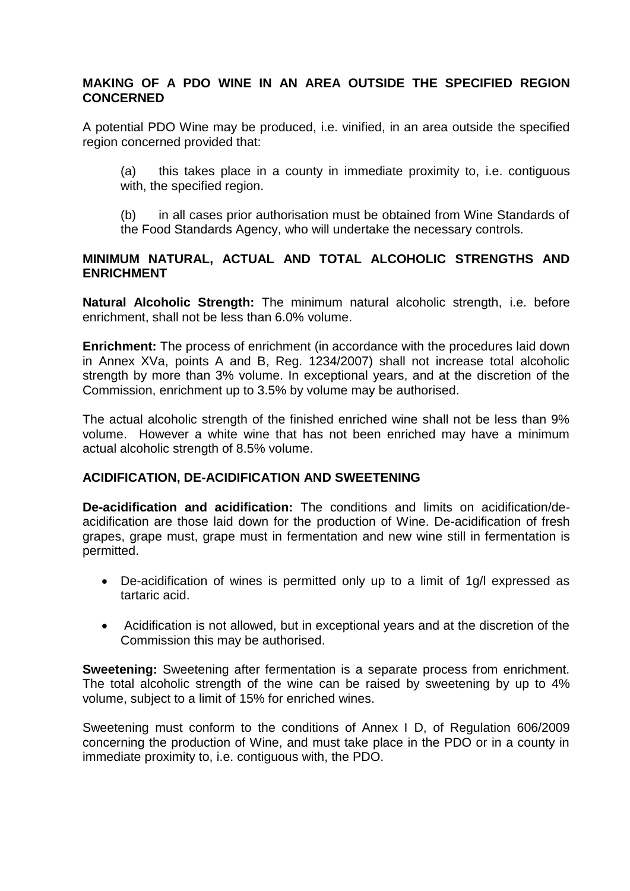## **MAKING OF A PDO WINE IN AN AREA OUTSIDE THE SPECIFIED REGION CONCERNED**

A potential PDO Wine may be produced, i.e. vinified, in an area outside the specified region concerned provided that:

(a) this takes place in a county in immediate proximity to, i.e. contiguous with, the specified region.

(b) in all cases prior authorisation must be obtained from Wine Standards of the Food Standards Agency, who will undertake the necessary controls.

## **MINIMUM NATURAL, ACTUAL AND TOTAL ALCOHOLIC STRENGTHS AND ENRICHMENT**

**Natural Alcoholic Strength:** The minimum natural alcoholic strength, i.e. before enrichment, shall not be less than 6.0% volume.

**Enrichment:** The process of enrichment (in accordance with the procedures laid down in Annex XVa, points A and B, Reg. 1234/2007) shall not increase total alcoholic strength by more than 3% volume. In exceptional years, and at the discretion of the Commission, enrichment up to 3.5% by volume may be authorised.

The actual alcoholic strength of the finished enriched wine shall not be less than 9% volume. However a white wine that has not been enriched may have a minimum actual alcoholic strength of 8.5% volume.

# **ACIDIFICATION, DE-ACIDIFICATION AND SWEETENING**

**De-acidification and acidification:** The conditions and limits on acidification/deacidification are those laid down for the production of Wine. De-acidification of fresh grapes, grape must, grape must in fermentation and new wine still in fermentation is permitted.

- De-acidification of wines is permitted only up to a limit of 1g/l expressed as tartaric acid.
- Acidification is not allowed, but in exceptional years and at the discretion of the Commission this may be authorised.

**Sweetening:** Sweetening after fermentation is a separate process from enrichment. The total alcoholic strength of the wine can be raised by sweetening by up to 4% volume, subject to a limit of 15% for enriched wines.

Sweetening must conform to the conditions of Annex I D, of Regulation 606/2009 concerning the production of Wine, and must take place in the PDO or in a county in immediate proximity to, i.e. contiguous with, the PDO.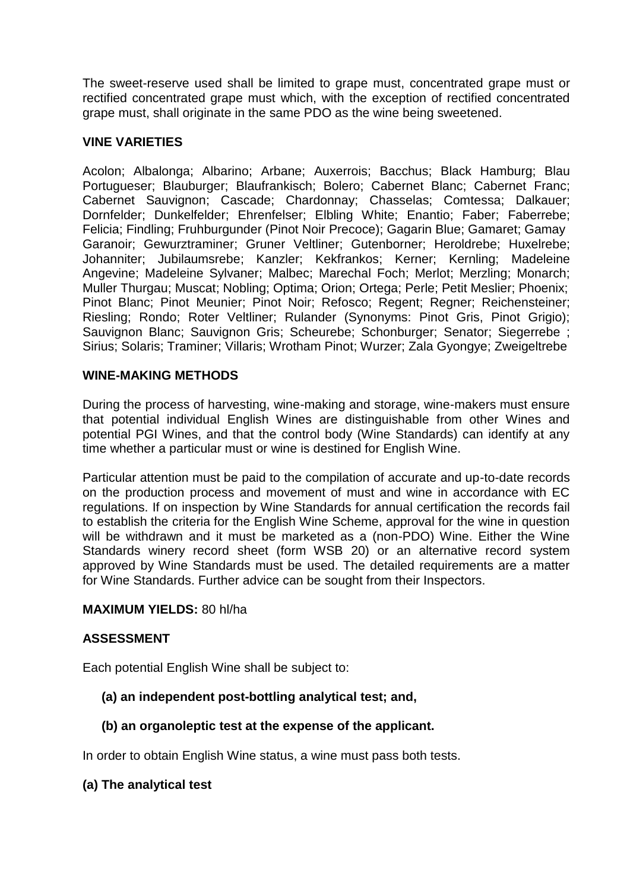The sweet-reserve used shall be limited to grape must, concentrated grape must or rectified concentrated grape must which, with the exception of rectified concentrated grape must, shall originate in the same PDO as the wine being sweetened.

## **VINE VARIETIES**

Acolon; Albalonga; Albarino; Arbane; Auxerrois; Bacchus; Black Hamburg; Blau Portugueser; Blauburger; Blaufrankisch; Bolero; Cabernet Blanc; Cabernet Franc; Cabernet Sauvignon; Cascade; Chardonnay; Chasselas; Comtessa; Dalkauer; Dornfelder; Dunkelfelder; Ehrenfelser; Elbling White; Enantio; Faber; Faberrebe; Felicia; Findling; Fruhburgunder (Pinot Noir Precoce); Gagarin Blue; Gamaret; Gamay Garanoir; Gewurztraminer; Gruner Veltliner; Gutenborner; Heroldrebe; Huxelrebe; Johanniter; Jubilaumsrebe; Kanzler; Kekfrankos; Kerner; Kernling; Madeleine Angevine; Madeleine Sylvaner; Malbec; Marechal Foch; Merlot; Merzling; Monarch; Muller Thurgau; Muscat; Nobling; Optima; Orion; Ortega; Perle; Petit Meslier; Phoenix; Pinot Blanc; Pinot Meunier; Pinot Noir; Refosco; Regent; Regner; Reichensteiner; Riesling; Rondo; Roter Veltliner; Rulander (Synonyms: Pinot Gris, Pinot Grigio); Sauvignon Blanc; Sauvignon Gris; Scheurebe; Schonburger; Senator; Siegerrebe ; Sirius; Solaris; Traminer; Villaris; Wrotham Pinot; Wurzer; Zala Gyongye; Zweigeltrebe

# **WINE-MAKING METHODS**

During the process of harvesting, wine-making and storage, wine-makers must ensure that potential individual English Wines are distinguishable from other Wines and potential PGI Wines, and that the control body (Wine Standards) can identify at any time whether a particular must or wine is destined for English Wine.

Particular attention must be paid to the compilation of accurate and up-to-date records on the production process and movement of must and wine in accordance with EC regulations. If on inspection by Wine Standards for annual certification the records fail to establish the criteria for the English Wine Scheme, approval for the wine in question will be withdrawn and it must be marketed as a (non-PDO) Wine. Either the Wine Standards winery record sheet (form WSB 20) or an alternative record system approved by Wine Standards must be used. The detailed requirements are a matter for Wine Standards. Further advice can be sought from their Inspectors.

#### **MAXIMUM YIELDS:** 80 hl/ha

#### **ASSESSMENT**

Each potential English Wine shall be subject to:

#### **(a) an independent post-bottling analytical test; and,**

#### **(b) an organoleptic test at the expense of the applicant.**

In order to obtain English Wine status, a wine must pass both tests.

#### **(a) The analytical test**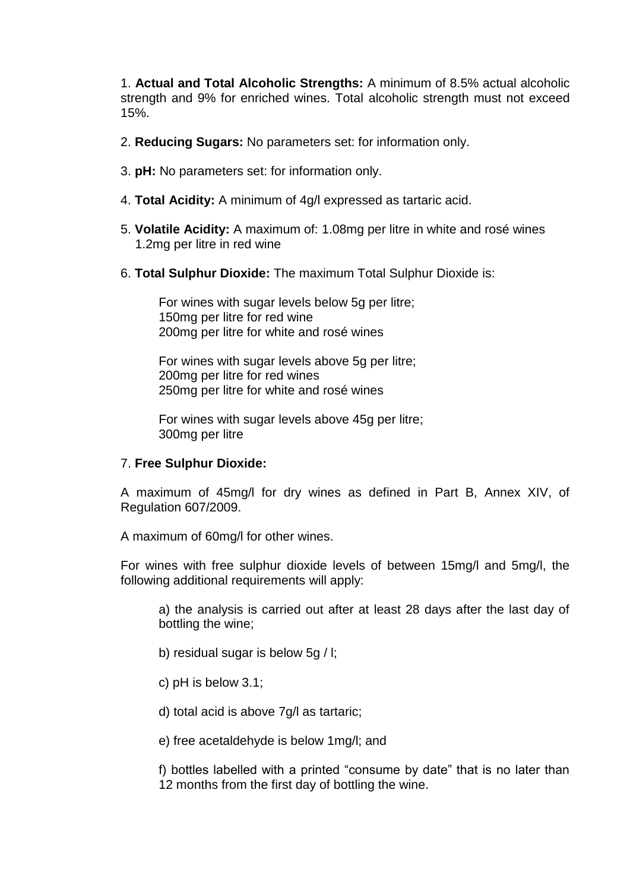1. **Actual and Total Alcoholic Strengths:** A minimum of 8.5% actual alcoholic strength and 9% for enriched wines. Total alcoholic strength must not exceed 15%.

- 2. **Reducing Sugars:** No parameters set: for information only.
- 3. **pH:** No parameters set: for information only.
- 4. **Total Acidity:** A minimum of 4g/l expressed as tartaric acid.
- 5. **Volatile Acidity:** A maximum of: 1.08mg per litre in white and rosé wines 1.2mg per litre in red wine
- 6. **Total Sulphur Dioxide:** The maximum Total Sulphur Dioxide is:

For wines with sugar levels below 5g per litre; 150mg per litre for red wine 200mg per litre for white and rosé wines

For wines with sugar levels above 5g per litre; 200mg per litre for red wines 250mg per litre for white and rosé wines

For wines with sugar levels above 45g per litre; 300mg per litre

#### 7. **Free Sulphur Dioxide:**

A maximum of 45mg/l for dry wines as defined in Part B, Annex XIV, of Regulation 607/2009.

A maximum of 60mg/l for other wines.

For wines with free sulphur dioxide levels of between 15mg/l and 5mg/l, the following additional requirements will apply:

a) the analysis is carried out after at least 28 days after the last day of bottling the wine;

- b) residual sugar is below 5g / l;
- c) pH is below 3.1;
- d) total acid is above 7g/l as tartaric;
- e) free acetaldehyde is below 1mg/l; and

f) bottles labelled with a printed "consume by date" that is no later than 12 months from the first day of bottling the wine.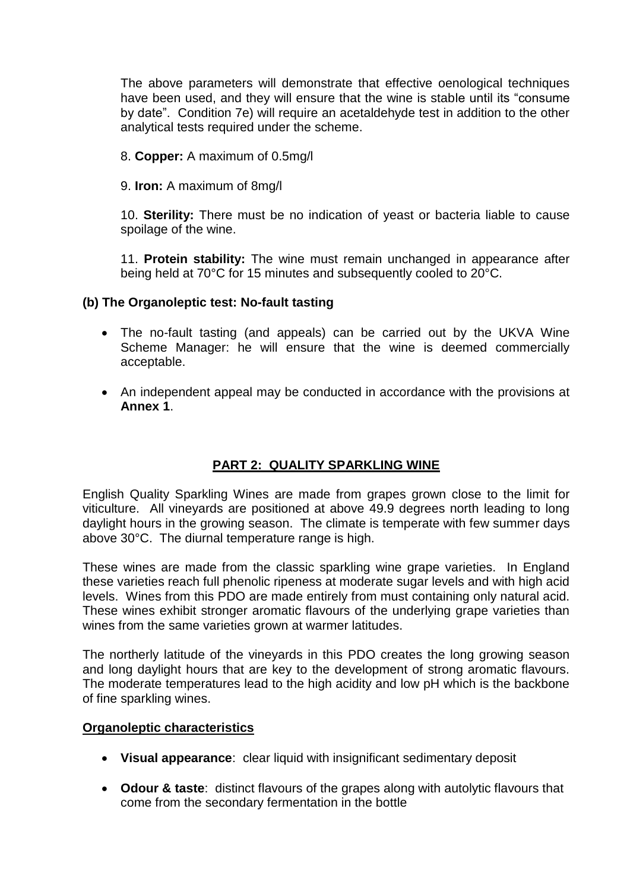The above parameters will demonstrate that effective oenological techniques have been used, and they will ensure that the wine is stable until its "consume by date". Condition 7e) will require an acetaldehyde test in addition to the other analytical tests required under the scheme.

8. **Copper:** A maximum of 0.5mg/l

9. **Iron:** A maximum of 8mg/l

10. **Sterility:** There must be no indication of yeast or bacteria liable to cause spoilage of the wine.

11. **Protein stability:** The wine must remain unchanged in appearance after being held at 70°C for 15 minutes and subsequently cooled to 20°C.

#### **(b) The Organoleptic test: No-fault tasting**

- The no-fault tasting (and appeals) can be carried out by the UKVA Wine Scheme Manager: he will ensure that the wine is deemed commercially acceptable.
- An independent appeal may be conducted in accordance with the provisions at **Annex 1**.

#### **PART 2: QUALITY SPARKLING WINE**

English Quality Sparkling Wines are made from grapes grown close to the limit for viticulture. All vineyards are positioned at above 49.9 degrees north leading to long daylight hours in the growing season. The climate is temperate with few summer days above 30°C. The diurnal temperature range is high.

These wines are made from the classic sparkling wine grape varieties. In England these varieties reach full phenolic ripeness at moderate sugar levels and with high acid levels. Wines from this PDO are made entirely from must containing only natural acid. These wines exhibit stronger aromatic flavours of the underlying grape varieties than wines from the same varieties grown at warmer latitudes.

The northerly latitude of the vineyards in this PDO creates the long growing season and long daylight hours that are key to the development of strong aromatic flavours. The moderate temperatures lead to the high acidity and low pH which is the backbone of fine sparkling wines.

#### **Organoleptic characteristics**

- **Visual appearance**: clear liquid with insignificant sedimentary deposit
- **Odour & taste**: distinct flavours of the grapes along with autolytic flavours that come from the secondary fermentation in the bottle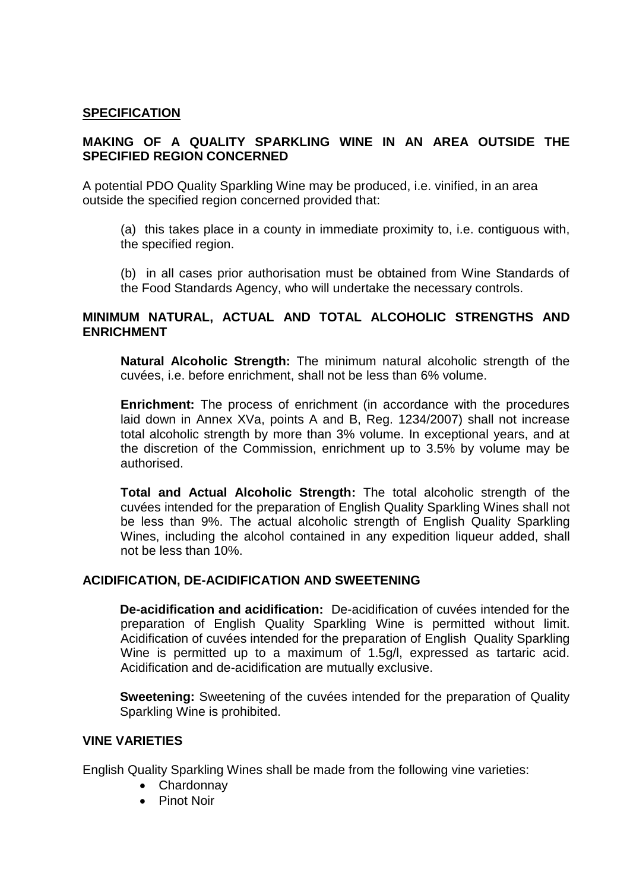#### **SPECIFICATION**

# **MAKING OF A QUALITY SPARKLING WINE IN AN AREA OUTSIDE THE SPECIFIED REGION CONCERNED**

A potential PDO Quality Sparkling Wine may be produced, i.e. vinified, in an area outside the specified region concerned provided that:

(a) this takes place in a county in immediate proximity to, i.e. contiguous with, the specified region.

(b) in all cases prior authorisation must be obtained from Wine Standards of the Food Standards Agency, who will undertake the necessary controls.

#### **MINIMUM NATURAL, ACTUAL AND TOTAL ALCOHOLIC STRENGTHS AND ENRICHMENT**

**Natural Alcoholic Strength:** The minimum natural alcoholic strength of the cuvées, i.e. before enrichment, shall not be less than 6% volume.

**Enrichment:** The process of enrichment (in accordance with the procedures laid down in Annex XVa, points A and B, Reg. 1234/2007) shall not increase total alcoholic strength by more than 3% volume. In exceptional years, and at the discretion of the Commission, enrichment up to 3.5% by volume may be authorised.

**Total and Actual Alcoholic Strength:** The total alcoholic strength of the cuvées intended for the preparation of English Quality Sparkling Wines shall not be less than 9%. The actual alcoholic strength of English Quality Sparkling Wines, including the alcohol contained in any expedition liqueur added, shall not be less than 10%.

#### **ACIDIFICATION, DE-ACIDIFICATION AND SWEETENING**

**De-acidification and acidification:** De-acidification of cuvées intended for the preparation of English Quality Sparkling Wine is permitted without limit. Acidification of cuvées intended for the preparation of English Quality Sparkling Wine is permitted up to a maximum of 1.5g/l, expressed as tartaric acid. Acidification and de-acidification are mutually exclusive.

**Sweetening:** Sweetening of the cuvées intended for the preparation of Quality Sparkling Wine is prohibited.

#### **VINE VARIETIES**

English Quality Sparkling Wines shall be made from the following vine varieties:

- Chardonnay
- Pinot Noir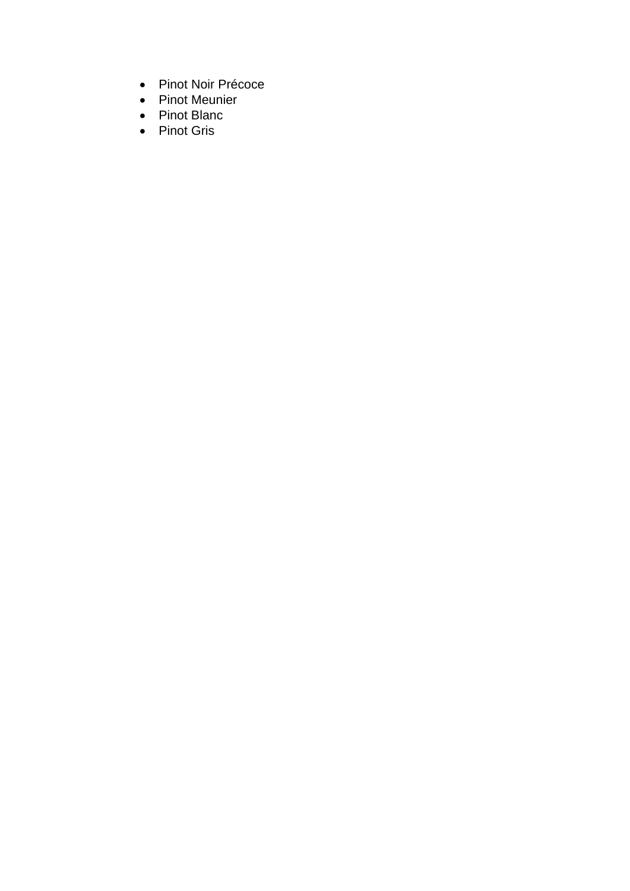- Pinot Noir Précoce
- Pinot Meunier
- Pinot Blanc
- Pinot Gris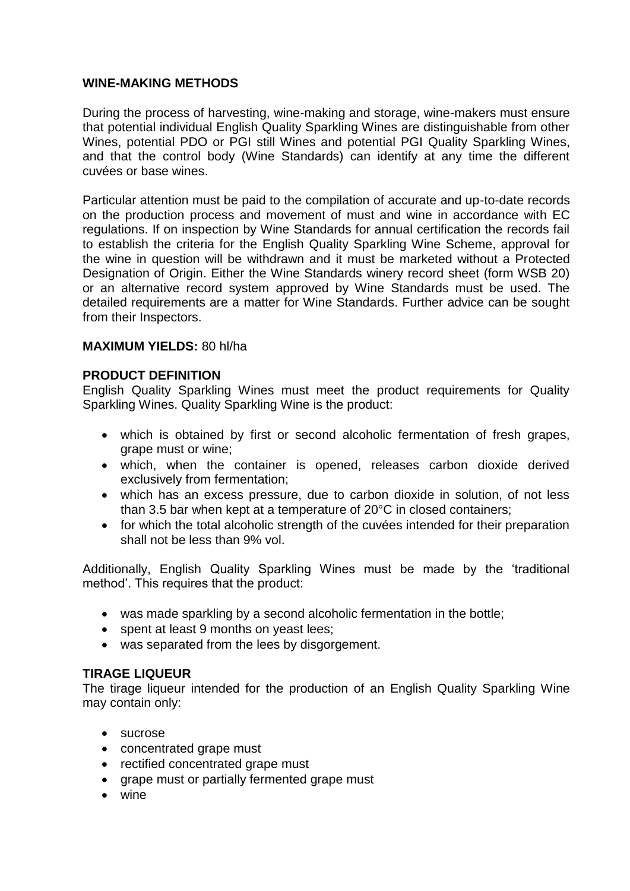## **WINE-MAKING METHODS**

During the process of harvesting, wine-making and storage, wine-makers must ensure that potential individual English Quality Sparkling Wines are distinguishable from other Wines, potential PDO or PGI still Wines and potential PGI Quality Sparkling Wines, and that the control body (Wine Standards) can identify at any time the different cuvées or base wines.

Particular attention must be paid to the compilation of accurate and up-to-date records on the production process and movement of must and wine in accordance with EC regulations. If on inspection by Wine Standards for annual certification the records fail to establish the criteria for the English Quality Sparkling Wine Scheme, approval for the wine in question will be withdrawn and it must be marketed without a Protected Designation of Origin. Either the Wine Standards winery record sheet (form WSB 20) or an alternative record system approved by Wine Standards must be used. The detailed requirements are a matter for Wine Standards. Further advice can be sought from their Inspectors.

#### **MAXIMUM YIELDS:** 80 hl/ha

#### **PRODUCT DEFINITION**

English Quality Sparkling Wines must meet the product requirements for Quality Sparkling Wines. Quality Sparkling Wine is the product:

- which is obtained by first or second alcoholic fermentation of fresh grapes, grape must or wine;
- which, when the container is opened, releases carbon dioxide derived exclusively from fermentation;
- which has an excess pressure, due to carbon dioxide in solution, of not less than 3.5 bar when kept at a temperature of 20°C in closed containers;
- for which the total alcoholic strength of the cuvées intended for their preparation shall not be less than 9% vol.

Additionally, English Quality Sparkling Wines must be made by the "traditional method". This requires that the product:

- was made sparkling by a second alcoholic fermentation in the bottle;
- spent at least 9 months on yeast lees:
- was separated from the lees by disgorgement.

#### **TIRAGE LIQUEUR**

The tirage liqueur intended for the production of an English Quality Sparkling Wine may contain only:

- sucrose
- concentrated grape must
- rectified concentrated grape must
- grape must or partially fermented grape must
- wine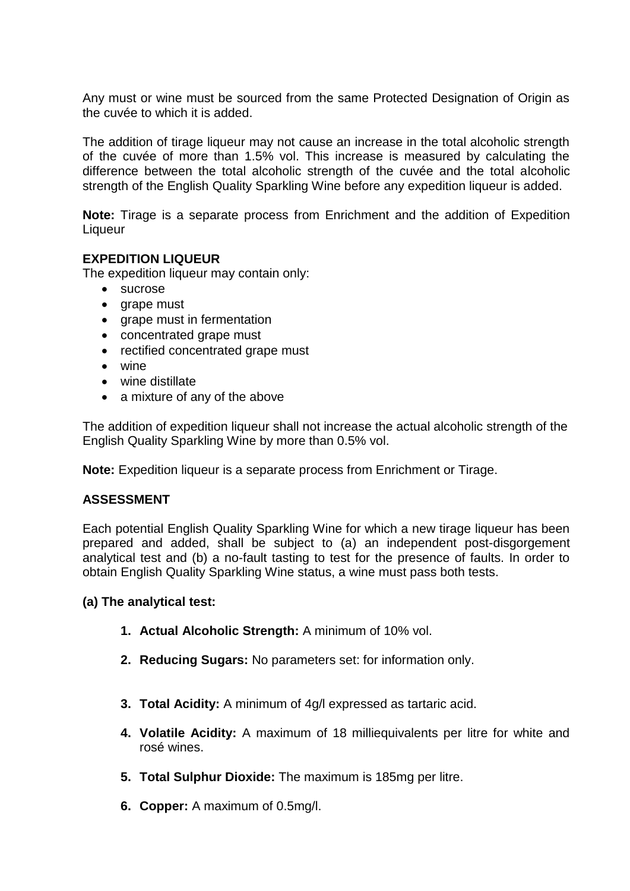Any must or wine must be sourced from the same Protected Designation of Origin as the cuvée to which it is added.

The addition of tirage liqueur may not cause an increase in the total alcoholic strength of the cuvée of more than 1.5% vol. This increase is measured by calculating the difference between the total alcoholic strength of the cuvée and the total alcoholic strength of the English Quality Sparkling Wine before any expedition liqueur is added.

**Note:** Tirage is a separate process from Enrichment and the addition of Expedition **Liqueur** 

#### **EXPEDITION LIQUEUR**

The expedition liqueur may contain only:

- sucrose
- grape must
- grape must in fermentation
- concentrated grape must
- rectified concentrated grape must
- wine
- wine distillate
- a mixture of any of the above

The addition of expedition liqueur shall not increase the actual alcoholic strength of the English Quality Sparkling Wine by more than 0.5% vol.

**Note:** Expedition liqueur is a separate process from Enrichment or Tirage.

#### **ASSESSMENT**

Each potential English Quality Sparkling Wine for which a new tirage liqueur has been prepared and added, shall be subject to (a) an independent post-disgorgement analytical test and (b) a no-fault tasting to test for the presence of faults. In order to obtain English Quality Sparkling Wine status, a wine must pass both tests.

#### **(a) The analytical test:**

- **1. Actual Alcoholic Strength:** A minimum of 10% vol.
- **2. Reducing Sugars:** No parameters set: for information only.
- **3. Total Acidity:** A minimum of 4g/l expressed as tartaric acid.
- **4. Volatile Acidity:** A maximum of 18 milliequivalents per litre for white and rosé wines.
- **5. Total Sulphur Dioxide:** The maximum is 185mg per litre.
- **6. Copper:** A maximum of 0.5mg/l.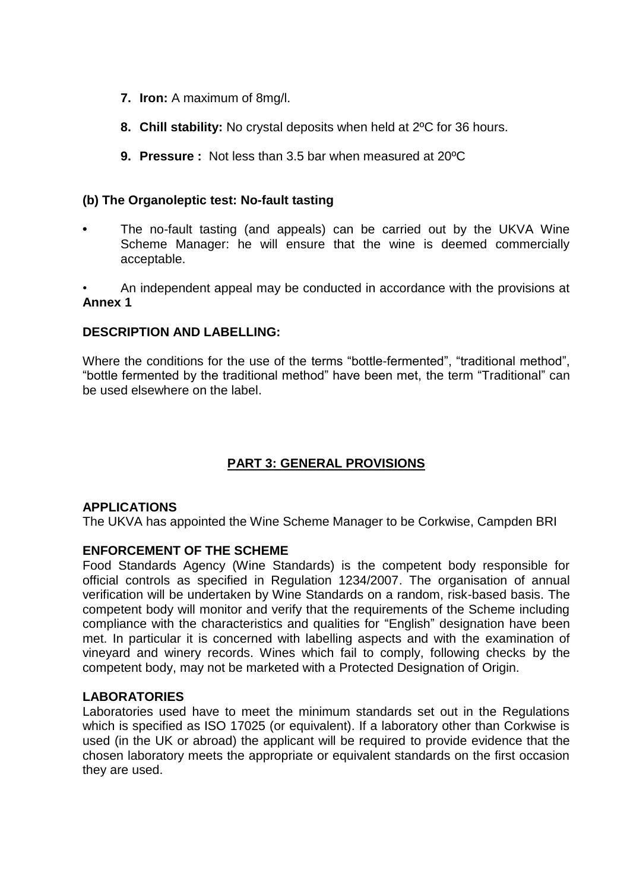- **7. Iron:** A maximum of 8mg/l.
- **8. Chill stability:** No crystal deposits when held at 2ºC for 36 hours.
- **9. Pressure :** Not less than 3.5 bar when measured at 20ºC

## **(b) The Organoleptic test: No-fault tasting**

- **•** The no-fault tasting (and appeals) can be carried out by the UKVA Wine Scheme Manager: he will ensure that the wine is deemed commercially acceptable.
- An independent appeal may be conducted in accordance with the provisions at **Annex 1**

# **DESCRIPTION AND LABELLING:**

Where the conditions for the use of the terms "bottle-fermented", "traditional method", "bottle fermented by the traditional method" have been met, the term "Traditional" can be used elsewhere on the label.

# **PART 3: GENERAL PROVISIONS**

#### **APPLICATIONS**

The UKVA has appointed the Wine Scheme Manager to be Corkwise, Campden BRI

#### **ENFORCEMENT OF THE SCHEME**

Food Standards Agency (Wine Standards) is the competent body responsible for official controls as specified in Regulation 1234/2007. The organisation of annual verification will be undertaken by Wine Standards on a random, risk-based basis. The competent body will monitor and verify that the requirements of the Scheme including compliance with the characteristics and qualities for "English" designation have been met. In particular it is concerned with labelling aspects and with the examination of vineyard and winery records. Wines which fail to comply, following checks by the competent body, may not be marketed with a Protected Designation of Origin.

#### **LABORATORIES**

Laboratories used have to meet the minimum standards set out in the Regulations which is specified as ISO 17025 (or equivalent). If a laboratory other than Corkwise is used (in the UK or abroad) the applicant will be required to provide evidence that the chosen laboratory meets the appropriate or equivalent standards on the first occasion they are used.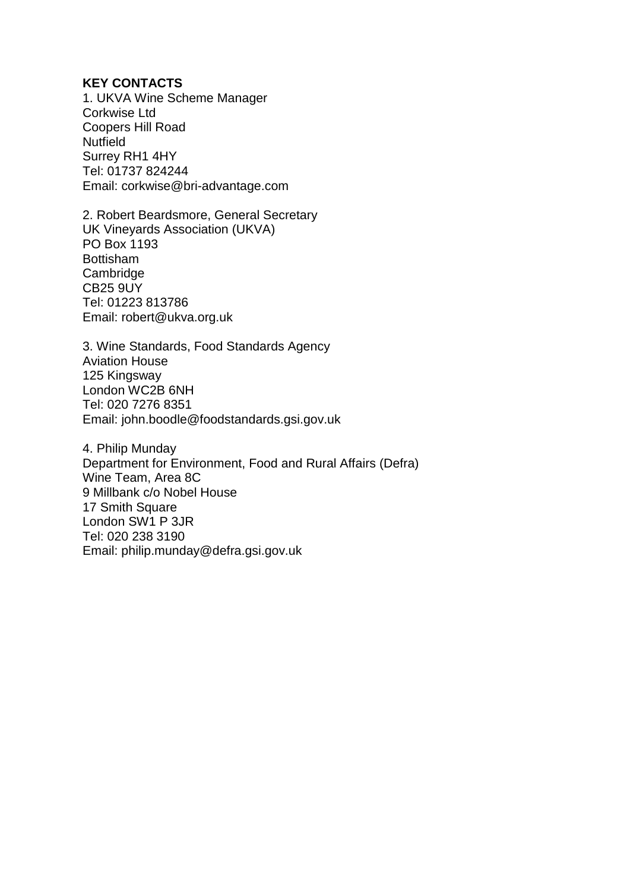#### **KEY CONTACTS**

1. UKVA Wine Scheme Manager Corkwise Ltd Coopers Hill Road **Nutfield** Surrey RH1 4HY Tel: 01737 824244 Email: corkwise@bri-advantage.com

2. Robert Beardsmore, General Secretary UK Vineyards Association (UKVA) PO Box 1193 Bottisham **Cambridge** CB25 9UY Tel: 01223 813786 Email: robert@ukva.org.uk

3. Wine Standards, Food Standards Agency Aviation House 125 Kingsway London WC2B 6NH Tel: 020 7276 8351 Email: john.boodle@foodstandards.gsi.gov.uk

4. Philip Munday Department for Environment, Food and Rural Affairs (Defra) Wine Team, Area 8C 9 Millbank c/o Nobel House 17 Smith Square London SW1 P 3JR Tel: 020 238 3190 Email: philip.munday@defra.gsi.gov.uk